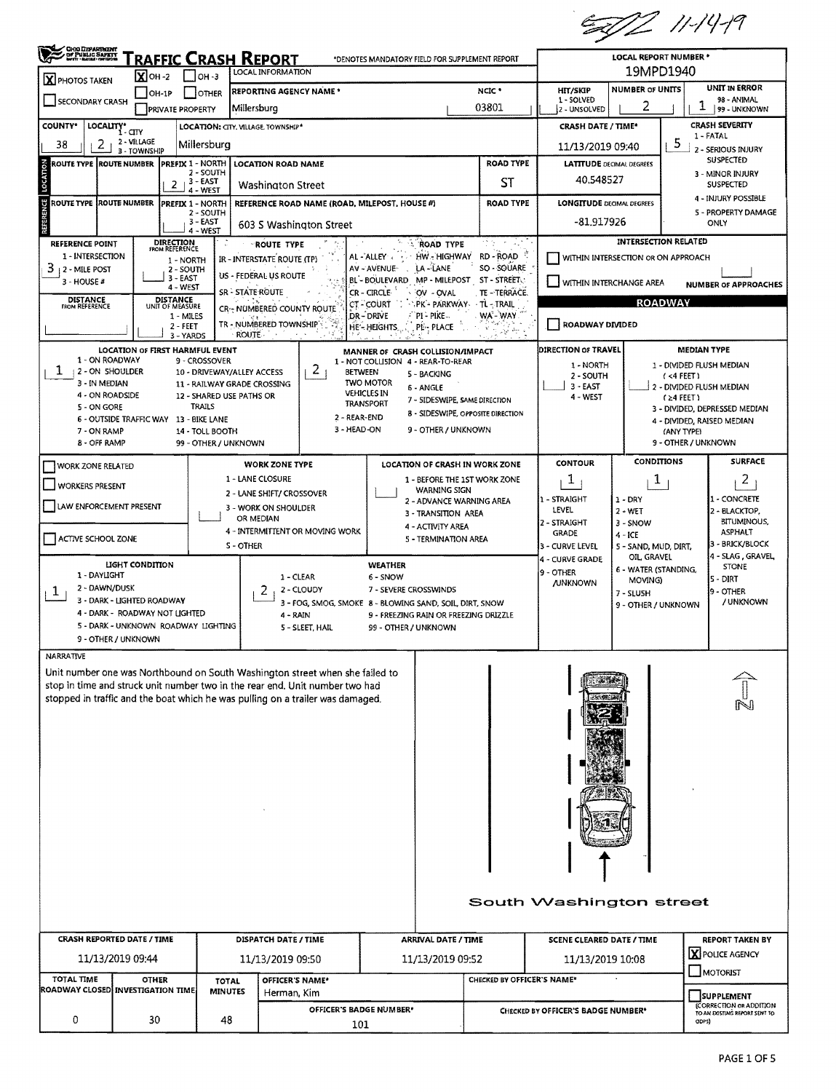5002 11-14-19

| OHO DEPARTMENT                                                                                                              |                                                                                                                       |                                             |                                                                                          |                                                                                                                                                                                                                                                |                                    |                                                     |                                  | ✔                                           |                                                                 |                                                   |  |  |
|-----------------------------------------------------------------------------------------------------------------------------|-----------------------------------------------------------------------------------------------------------------------|---------------------------------------------|------------------------------------------------------------------------------------------|------------------------------------------------------------------------------------------------------------------------------------------------------------------------------------------------------------------------------------------------|------------------------------------|-----------------------------------------------------|----------------------------------|---------------------------------------------|-----------------------------------------------------------------|---------------------------------------------------|--|--|
| <u> Fraffic Crash Report</u><br>*DENOTES MANDATORY FIELD FOR SUPPLEMENT REPORT<br>LOCAL INFORMATION<br>$X$ OH-2<br>   он -з |                                                                                                                       |                                             |                                                                                          |                                                                                                                                                                                                                                                |                                    |                                                     |                                  |                                             | LOCAL REPORT NUMBER *<br>19MPD1940                              |                                                   |  |  |
| $\mathbf X$ PHOTOS TAKEN                                                                                                    | $[OH-1P]$                                                                                                             | <b>OTHER</b>                                |                                                                                          | <b>REPORTING AGENCY NAME *</b>                                                                                                                                                                                                                 |                                    |                                                     | NCIC <sup>+</sup>                | HIT/SKIP                                    | <b>NUMBER OF UNITS</b>                                          | <b>UNIT IN ERROR</b>                              |  |  |
| <b>SECONDARY CRASH</b><br><b>PRIVATE PROPERTY</b>                                                                           |                                                                                                                       |                                             | Millersburg                                                                              |                                                                                                                                                                                                                                                |                                    |                                                     | 03801                            | 1 - SOLVED<br>2 - UNSOLVED                  | 2                                                               | 98 ANIMAL<br>1<br>99 - UNKNOWN                    |  |  |
| <b>COUNTY*</b>                                                                                                              | LOCALITY* CITY                                                                                                        |                                             |                                                                                          | LOCATION: CITY, VILLAGE, TOWNSHIP*                                                                                                                                                                                                             |                                    |                                                     |                                  |                                             | <b>CRASH SEVERITY</b><br><b>CRASH DATE / TIME*</b><br>1 - FATAL |                                                   |  |  |
| 2<br>38                                                                                                                     | 2 - VILLAGE<br>3 - TOWNSHIP                                                                                           | Millersburg                                 |                                                                                          |                                                                                                                                                                                                                                                |                                    |                                                     |                                  | 5<br>11/13/2019 09:40<br>2 - SERIOUS INJURY |                                                                 |                                                   |  |  |
| ROUTE TYPE  ROUTE NUMBER                                                                                                    |                                                                                                                       | <b>PREFIX 1 - NORTH</b><br>2 - SOUTH        |                                                                                          | <b>LOCATION ROAD NAME</b>                                                                                                                                                                                                                      |                                    |                                                     | <b>ROAD TYPE</b>                 | <b>LATITUDE DECIMAL DEGREES</b>             |                                                                 | <b>SUSPECTED</b><br>3 - MINOR INJURY              |  |  |
|                                                                                                                             | 2                                                                                                                     | $13 - EAST$<br>4 - WEST                     |                                                                                          | Washington Street                                                                                                                                                                                                                              |                                    |                                                     | ST                               | 40.548527                                   | <b>SUSPECTED</b>                                                |                                                   |  |  |
| ម<br>ROUTE TYPE  ROUTE NUMBER                                                                                               |                                                                                                                       | <b>PREFIX 1 - NORTH</b><br>2 - SOUTH        |                                                                                          | REFERENCE ROAD NAME (ROAD, MILEPOST, HOUSE #)                                                                                                                                                                                                  |                                    |                                                     | <b>ROAD TYPE</b>                 | <b>LONGITUDE DECIMAL DEGREES</b>            |                                                                 | 4 - INJURY POSSIBLE<br><b>5 - PROPERTY DAMAGE</b> |  |  |
|                                                                                                                             |                                                                                                                       | 3 - EAST<br>4 - WEST                        |                                                                                          | 603 S Washington Street                                                                                                                                                                                                                        |                                    |                                                     |                                  | -81.917926<br>ONLY                          |                                                                 |                                                   |  |  |
|                                                                                                                             | DIRECTION<br>FROM REFERENCE<br><b>REFERENCE POINT</b><br><b>ROUTE TYPE</b><br><b>ROAD TYPE</b>                        |                                             |                                                                                          |                                                                                                                                                                                                                                                |                                    |                                                     | ΩY                               |                                             | <b>INTERSECTION RELATED</b>                                     |                                                   |  |  |
| 1 - INTERSECTION<br>3<br>  2 - MILE POST                                                                                    |                                                                                                                       | 1 - NORTH<br>2 - SOUTH                      |                                                                                          | IR - INTERSTATE ROUTE (TP)                                                                                                                                                                                                                     | AL - ALLEY<br>AV - AVENUE-         | HW - HIGHWAY<br>LA-LANE                             | RD - ROAD<br>SO - SOUARE         |                                             | WITHIN INTERSECTION OR ON APPROACH                              |                                                   |  |  |
| 3 - HOUSE #                                                                                                                 |                                                                                                                       | 3 - EAST<br>$4 - WEST$                      | US - FEDERAL US ROUTE<br>SR - STATE ROUTE                                                |                                                                                                                                                                                                                                                | <b>BI-BOULEVARD</b><br>CR - CIRCLE | MP - MILEPOST ST - STREET<br>OV - OVAL              | TE - TERRACE.                    | WITHIN INTERCHANGE AREA                     |                                                                 | <b>NUMBER OF APPROACHES</b>                       |  |  |
| DISTANCE<br>FROM REFERENCE                                                                                                  | DISTANCE<br>UNIT OF MEASURE                                                                                           |                                             |                                                                                          | CR <sub>37</sub> NUMBERED COUNTY ROUTE                                                                                                                                                                                                         | CT-COURT                           | PK - PARKWAY                                        | → TL -⊹TRAIL                     |                                             | <b>ROADWAY</b>                                                  |                                                   |  |  |
|                                                                                                                             |                                                                                                                       | 1 - MILES<br>$2 - FEET$                     |                                                                                          | TR - NUMBERED TOWNSHIP                                                                                                                                                                                                                         | DR-DRIVE<br>HE'- HEIGHTS           | ``PI `- PIKE --<br><b>PE-PLACE</b>                  | WA'- WAY.                        | <b>ROADWAY DIVIDED</b>                      |                                                                 |                                                   |  |  |
|                                                                                                                             | LOCATION OF FIRST HARMFUL EVENT                                                                                       | 3 - YARDS                                   | ROUTE :                                                                                  |                                                                                                                                                                                                                                                |                                    | MANNER OF CRASH COLLISION/IMPACT                    |                                  | <b>DIRECTION OF TRAVEL</b>                  |                                                                 | <b>MEDIAN TYPE</b>                                |  |  |
| 1 - ON ROADWAY<br>1<br><b>12 - ON SHOULDER</b>                                                                              |                                                                                                                       | 9 - CROSSOVER<br>10 - DRIVEWAY/ALLEY ACCESS |                                                                                          | 2<br><b>BETWEEN</b>                                                                                                                                                                                                                            | 1 - NOT COLLISION 4 - REAR-TO-REAR |                                                     |                                  | 1 - NORTH                                   |                                                                 | 1 - DIVIDED FLUSH MEDIAN                          |  |  |
| 3 - IN MEDIAN                                                                                                               |                                                                                                                       | 11 - RAILWAY GRADE CROSSING                 |                                                                                          |                                                                                                                                                                                                                                                | <b>TWO MOTOR</b>                   | 5 - BACKING<br>6 - ANGLE                            |                                  | 2 - SOUTH<br>$3 - EAST$                     |                                                                 | $($ <4 FEET)<br>2 - DIVIDED FLUSH MEDIAN          |  |  |
| 4 - ON ROADSIDE<br>5 - ON GORE                                                                                              |                                                                                                                       | 12 - SHARED USE PATHS OR<br>TRAILS          |                                                                                          | <b>VEHICLES IN</b><br><b>TRANSPORT</b>                                                                                                                                                                                                         | 7 - SIDESWIPE, SAME DIRECTION      |                                                     | 4 - WEST                         |                                             | $(24$ FEET)<br>3 - DIVIDED, DEPRESSED MEDIAN                    |                                                   |  |  |
| 7 - ON RAMP                                                                                                                 | 6 - OUTSIDE TRAFFIC WAY 13 - BIKE LANE                                                                                | 14 - TOLL BOOTH                             |                                                                                          | 8 - SIDESWIPE, OPPOSITE DIRECTION<br>2 - REAR-END<br>3 - HEAD-ON<br>9 - OTHER / UNKNOWN                                                                                                                                                        |                                    |                                                     |                                  |                                             |                                                                 | 4 - DIVIDED, RAISED MEDIAN<br>(ANY TYPE)          |  |  |
| 8 - OFF RAMP                                                                                                                |                                                                                                                       | 99 - OTHER / UNKNOWN                        |                                                                                          |                                                                                                                                                                                                                                                |                                    |                                                     | 9 - OTHER / UNKNOWN              |                                             |                                                                 |                                                   |  |  |
| WORK ZONE RELATED                                                                                                           |                                                                                                                       |                                             |                                                                                          | <b>WORK ZONE TYPE</b>                                                                                                                                                                                                                          |                                    | LOCATION OF CRASH IN WORK ZONE                      |                                  | CONTOUR                                     | <b>CONDITIONS</b>                                               | <b>SURFACE</b>                                    |  |  |
| <b>WORKERS PRESENT</b>                                                                                                      |                                                                                                                       |                                             | 1 - LANE CLOSURE                                                                         |                                                                                                                                                                                                                                                |                                    | 1 - BEFORE THE 1ST WORK ZONE<br><b>WARNING SIGN</b> |                                  | 1                                           | T                                                               | 2                                                 |  |  |
| LAW ENFORCEMENT PRESENT                                                                                                     |                                                                                                                       |                                             | 2 - LANE SHIFT/ CROSSOVER<br>2 - ADVANCE WARNING AREA<br>3 - WORK ON SHOULDER            |                                                                                                                                                                                                                                                |                                    |                                                     |                                  | 1 - STRAIGHT<br>LEVEL                       | $1 - DRY$<br>$2 - WET$                                          | L - CONCRETE<br>2 - BLACKTOP,                     |  |  |
|                                                                                                                             |                                                                                                                       |                                             | 3 - TRANSITION AREA<br>OR MEDIAN<br>4 - ACTIVITY AREA<br>4 - INTERMITTENT OR MOVING WORK |                                                                                                                                                                                                                                                |                                    |                                                     | 2 - STRAIGHT<br>3 - SNOW         |                                             |                                                                 | BITUMINOUS.                                       |  |  |
| ACTIVE SCHOOL ZONE                                                                                                          |                                                                                                                       |                                             | S-OTHER                                                                                  | <b>5 - TERMINATION AREA</b>                                                                                                                                                                                                                    |                                    |                                                     |                                  | <b>GRADE</b><br>3 - CURVE LEVEL             | $4 - ICE$<br>5 - SAND, MUD, DIRT,                               | <b>ASPHALT</b><br>3 - BRICK/BLOCK                 |  |  |
|                                                                                                                             | LIGHT CONDITION                                                                                                       |                                             |                                                                                          |                                                                                                                                                                                                                                                | WEATHER                            |                                                     |                                  | 4 - CURVE GRADE                             | OIL, GRAVEL<br>6 - WATER (STANDING,                             | 4 - SLAG, GRAVEL<br><b>STONE</b>                  |  |  |
| 1 - DAYLIGHT<br>2 - DAWN/DUSK                                                                                               |                                                                                                                       |                                             | 2                                                                                        | 1 - CLEAR<br>2 - CLOUDY                                                                                                                                                                                                                        | 7 - SEVERE CROSSWINDS              |                                                     | 9 - OTHER<br><b>JUNKNOWN</b>     | MOVING)                                     | 5 - DIRT                                                        |                                                   |  |  |
|                                                                                                                             | T<br>3 - DARK - LIGHTED ROADWAY                                                                                       |                                             |                                                                                          | 3 - FOG, SMOG, SMOKE 8 - BLOWING SAND, SOIL, DIRT, SNOW                                                                                                                                                                                        |                                    |                                                     |                                  |                                             | 7 - SLUSH<br>9 - OTHER / UNKNOWN                                | 9 - OTHER<br>/ UNKNOWN                            |  |  |
|                                                                                                                             | 4 - DARK - ROADWAY NOT LIGHTED<br>5 - DARK - UNKNOWN ROADWAY LIGHTING                                                 |                                             |                                                                                          | 4 - RAIN<br>S - SLEET, HAIL                                                                                                                                                                                                                    | 99 - OTHER / UNKNOWN               | 9 - FREEZING RAIN OR FREEZING DRIZZLE               |                                  |                                             |                                                                 |                                                   |  |  |
|                                                                                                                             | 9 - OTHER / UNKNOWN                                                                                                   |                                             |                                                                                          |                                                                                                                                                                                                                                                |                                    |                                                     |                                  |                                             |                                                                 |                                                   |  |  |
| NARRATIVE                                                                                                                   |                                                                                                                       |                                             |                                                                                          |                                                                                                                                                                                                                                                |                                    |                                                     |                                  |                                             |                                                                 |                                                   |  |  |
|                                                                                                                             |                                                                                                                       |                                             |                                                                                          | Unit number one was Northbound on South Washington street when she failed to<br>stop in time and struck unit number two in the rear end. Unit number two had<br>stopped in traffic and the boat which he was pulling on a trailer was damaged. |                                    |                                                     |                                  |                                             |                                                                 |                                                   |  |  |
|                                                                                                                             |                                                                                                                       |                                             |                                                                                          |                                                                                                                                                                                                                                                |                                    |                                                     |                                  |                                             |                                                                 |                                                   |  |  |
|                                                                                                                             |                                                                                                                       |                                             |                                                                                          |                                                                                                                                                                                                                                                |                                    |                                                     |                                  |                                             |                                                                 |                                                   |  |  |
|                                                                                                                             |                                                                                                                       |                                             |                                                                                          |                                                                                                                                                                                                                                                |                                    |                                                     |                                  |                                             |                                                                 |                                                   |  |  |
|                                                                                                                             |                                                                                                                       |                                             |                                                                                          |                                                                                                                                                                                                                                                |                                    |                                                     |                                  |                                             |                                                                 |                                                   |  |  |
|                                                                                                                             |                                                                                                                       |                                             |                                                                                          |                                                                                                                                                                                                                                                |                                    |                                                     |                                  |                                             |                                                                 |                                                   |  |  |
|                                                                                                                             |                                                                                                                       |                                             |                                                                                          |                                                                                                                                                                                                                                                |                                    |                                                     |                                  |                                             |                                                                 |                                                   |  |  |
|                                                                                                                             |                                                                                                                       |                                             |                                                                                          |                                                                                                                                                                                                                                                |                                    |                                                     |                                  |                                             |                                                                 |                                                   |  |  |
| South Washington street                                                                                                     |                                                                                                                       |                                             |                                                                                          |                                                                                                                                                                                                                                                |                                    |                                                     |                                  |                                             |                                                                 |                                                   |  |  |
| <b>CRASH REPORTED DATE / TIME</b>                                                                                           |                                                                                                                       |                                             |                                                                                          | DISPATCH DATE / TIME                                                                                                                                                                                                                           |                                    | ARRIVAL DATE / TIME                                 | <b>SCENE CLEARED DATE / TIME</b> |                                             |                                                                 | <b>REPORT TAKEN BY</b>                            |  |  |
| 11/13/2019 09:44                                                                                                            |                                                                                                                       |                                             |                                                                                          | 11/13/2019 09:50                                                                                                                                                                                                                               |                                    | 11/13/2019 09:52                                    | 11/13/2019 10:08                 |                                             |                                                                 | X POLICE AGENCY                                   |  |  |
| <b>TOTAL TIME</b>                                                                                                           | <b>OTHER</b><br>OFFICER'S NAME*<br><b>TOTAL</b>                                                                       |                                             |                                                                                          |                                                                                                                                                                                                                                                |                                    | MOTORIST<br>CHECKED BY OFFICER'S NAME*              |                                  |                                             |                                                                 |                                                   |  |  |
|                                                                                                                             | ROADWAY CLOSED INVESTIGATION TIME<br><b>MINUTES</b><br>Herman, Kim<br>OFFICER'S BADGE NUMBER*<br>0<br>30<br>48<br>101 |                                             |                                                                                          |                                                                                                                                                                                                                                                | SUPPLEMENT                         |                                                     |                                  | <b>(CORRECTION OR ADDITION</b>              |                                                                 |                                                   |  |  |
|                                                                                                                             |                                                                                                                       |                                             |                                                                                          | CHECKED BY OFFICER'S BADGE NUMBER*<br>ODPS)                                                                                                                                                                                                    |                                    |                                                     |                                  | TO AN EXISTING REPORT SENT TO               |                                                                 |                                                   |  |  |
|                                                                                                                             |                                                                                                                       |                                             |                                                                                          |                                                                                                                                                                                                                                                |                                    |                                                     |                                  |                                             |                                                                 |                                                   |  |  |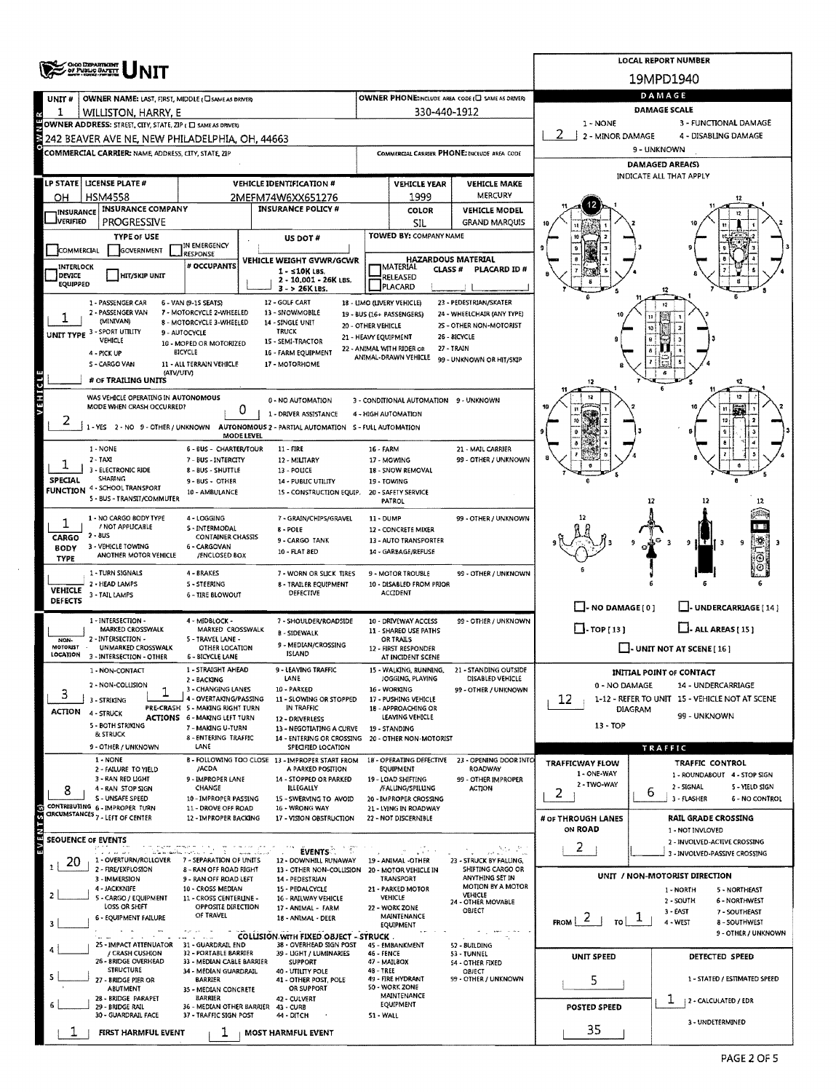|                            |                                                                                                               |                                                               |                                                                        |                                             |                                                 |                                                 |                                                                        | <b>LOCAL REPORT NUMBER</b>                                       |  |  |
|----------------------------|---------------------------------------------------------------------------------------------------------------|---------------------------------------------------------------|------------------------------------------------------------------------|---------------------------------------------|-------------------------------------------------|-------------------------------------------------|------------------------------------------------------------------------|------------------------------------------------------------------|--|--|
|                            | OHOO DEPARTMENT                                                                                               |                                                               |                                                                        |                                             |                                                 |                                                 |                                                                        | 19MPD1940                                                        |  |  |
| UNIT#                      | OWNER NAME: LAST, FIRST, MIDDLE ( C SAME AS DRIVER)                                                           |                                                               |                                                                        |                                             |                                                 | OWNER PHONE:INCLUDE AREA CODE (E) SAME AS ORNER |                                                                        | DAMAGE                                                           |  |  |
| 1                          | WILLISTON, HARRY, E                                                                                           |                                                               |                                                                        |                                             | 330-440-1912                                    |                                                 |                                                                        | <b>DAMAGE SCALE</b>                                              |  |  |
|                            | OWNER ADDRESS: STREET, CITY, STATE, ZIP ( E) SAME AS DRIVER)                                                  |                                                               |                                                                        |                                             |                                                 |                                                 | 1 - NONE<br>2<br>2 - MINOR DAMAGE                                      | 3 - FUNCTIONAL DAMAGE<br>4 - DISABLING DAMAGE                    |  |  |
|                            | 242 BEAVER AVE NE, NEW PHILADELPHIA, OH, 44663<br>COMMERCIAL CARRIER: NAME ADDRESS, CITY, STATE, ZIP          |                                                               |                                                                        | COMMERCIAL CARRIER PHONE: INCLUDE AREA CODE |                                                 |                                                 | 9 - UNKNOWN                                                            |                                                                  |  |  |
|                            |                                                                                                               |                                                               |                                                                        |                                             |                                                 |                                                 | DAMAGED AREA(S)                                                        |                                                                  |  |  |
|                            | LP STATE   LICENSE PLATE #                                                                                    |                                                               | <b>VEHICLE IDENTIFICATION #</b>                                        | <b>VEHICLE YEAR</b><br><b>VEHICLE MAKE</b>  |                                                 |                                                 | INDICATE ALL THAT APPLY                                                |                                                                  |  |  |
| OН                         | <b>HSM4558</b>                                                                                                |                                                               | 2MEFM74W6XX651276                                                      |                                             | 1999                                            | MERCURY                                         |                                                                        |                                                                  |  |  |
| <b>INSURANCE</b>           | <b>INSURANCE COMPANY</b>                                                                                      |                                                               | <b>INSURANCE POLICY #</b>                                              |                                             | <b>COLOR</b>                                    | <b>VEHICLE MODEL</b>                            |                                                                        |                                                                  |  |  |
| <b>J</b> verifieo          | <b>PROGRESSIVE</b><br><b>TYPE OF USE</b>                                                                      |                                                               |                                                                        |                                             | <b>SIL</b><br>TOWED BY: COMPANY NAME            | <b>GRAND MARQUIS</b>                            |                                                                        |                                                                  |  |  |
| COMMERCIAL                 | <b>GOVERNMENT</b>                                                                                             | IN EMERGENCY<br><b>RESPONSE</b>                               | US DOT#                                                                |                                             |                                                 |                                                 |                                                                        |                                                                  |  |  |
| INTERLOCK                  |                                                                                                               | # OCCUPANTS                                                   | VEHICLE WEIGHT GVWR/GCWR<br>$1 -$ s10K LBS.                            |                                             | <b>IMATERIAL</b><br><b>CLASS#</b>               | <b>HAZARDOUS MATERIAL</b><br>PLACARD ID#        |                                                                        |                                                                  |  |  |
| DEVICE<br>EQUIPPED         | <b>HIT/SKIP UNIT</b>                                                                                          |                                                               | 2 - 10.001 - 26K LBS.<br>$3 - 26K$ LBS.                                |                                             | RELEASED<br>PLACARD                             |                                                 |                                                                        |                                                                  |  |  |
|                            | 1 - PASSENGER CAR                                                                                             | 6 - VAN (9-1S SEATS)                                          | 12 - GOLF CART                                                         |                                             | 18 - LIMO (LIVERY VEHICLE)                      | 23 - PEDESTRIAN/SKATER                          |                                                                        |                                                                  |  |  |
|                            | 2 - PASSENGER VAN<br>(MINIVAN)                                                                                | 7 - MOTORCYCLE 2-WHEELED<br>8 - MOTORCYCLE 3-WHEELED          | 13 - SNOWMOBILE<br>14 - SINGLE UNIT                                    |                                             | 19 - BUS (16+ PASSENGERS)                       | 24 - WHEELCHAIR (ANY TYPE)                      |                                                                        |                                                                  |  |  |
|                            | UNIT TYPE 3 - SPORT UTILITY                                                                                   | 9 - AUTOCYCLE                                                 | <b>TRUCK</b>                                                           | 20 - OTHER VEHICLE<br>21 - HEAVY EQUIPMENT  |                                                 | 25 - OTHER NON-MOTORIST<br>26 - BICYCLE         |                                                                        |                                                                  |  |  |
|                            | VEHICLE<br>4 - PICK UP                                                                                        | 10 - MOPED OR MOTORIZED<br>BICYCLE                            | 15 - SEMI-TRACTOR<br>16 - FARM EQUIPMENT                               |                                             | 22 - ANIMAL WITH RIDER OR                       | 27 - TRAIN                                      |                                                                        |                                                                  |  |  |
|                            | S - CARGO VAN<br>(ATV/UTV)                                                                                    | 11 - ALL TERRAIN VEHICLE                                      | 17 - MOTORHOME                                                         |                                             | ANIMAL-DRAWN VEHICLE                            | 99 - UNKNOWN OR HIT/SKIP                        |                                                                        |                                                                  |  |  |
|                            | # OF TRAILING UNITS                                                                                           |                                                               |                                                                        |                                             |                                                 |                                                 |                                                                        |                                                                  |  |  |
| <b>VEHICL</b>              | WAS VEHICLE OPERATING IN AUTONOMOUS<br>MODE WHEN CRASH OCCURRED?                                              |                                                               | 0 - NO AUTOMATION                                                      |                                             | 3 - CONDITIONAL AUTOMATION 9 - UNKNOWN          |                                                 |                                                                        | 12                                                               |  |  |
| 2                          |                                                                                                               | 0                                                             | 1 - DRIVER ASSISTANCE                                                  |                                             | 4 - HIGH AUTOMATION                             |                                                 |                                                                        |                                                                  |  |  |
|                            | 1 - YES 2 - NO 9 - OTHER / UNKNOWN AUTONOMOUS 2 - PARTIAL AUTOMATION S - FULL AUTOMATION                      | MODE LEVEL                                                    |                                                                        |                                             |                                                 |                                                 |                                                                        |                                                                  |  |  |
|                            | $1 - NONE$                                                                                                    | <b>6 - BUS - CHARTER/TOUR</b>                                 | $11 - FIRE$                                                            | 16 - FARM                                   |                                                 | 21 - MAIL CARRIER                               |                                                                        |                                                                  |  |  |
|                            | $2 - TAXI$<br>7 - BUS - INTERCITY<br>12 - MILITARY<br>3 - ELECTRONIC RIDE<br>8 - BUS - SHUTTLE<br>13 - POLICE |                                                               |                                                                        |                                             | 17 - MOWING<br>18 - SNOW REMOVAL                | 99 - OTHER / UNKNOWN                            |                                                                        |                                                                  |  |  |
| SPECIAL                    | SHARING<br><b>FUNCTION 4 - SCHOOL TRANSPORT</b>                                                               | 9 - BUS - OTHER                                               | 14 - PUBLIC UTILITY                                                    |                                             | 19 - TOWING                                     |                                                 |                                                                        |                                                                  |  |  |
|                            | 5 - BUS - TRANSIT/COMMUTER                                                                                    | 10 - AMBULANCE                                                | 15 - CONSTRUCTION EQUIP.                                               |                                             | 20 - SAFETY SERVICE<br>PATROL                   |                                                 |                                                                        | 12                                                               |  |  |
| ı                          | 1 - NO CARGO BODY TYPE                                                                                        | 4 - LOGGING                                                   | 7 - GRAIN/CHIPS/GRAVEL                                                 | 11 - DUMP                                   |                                                 | 99 - OTHER / UNKNOWN                            |                                                                        |                                                                  |  |  |
| CARGO                      | / NOT APPLICABLE<br>$2 - 80S$                                                                                 | <b>S-INTERMODAL</b><br>CONTAINER CHASSIS                      | 8 - POLE<br>9 - CARGO TANK                                             |                                             | 12 - CONCRETE MIXER<br>13 - AUTO TRANSPORTER    |                                                 |                                                                        | 犜                                                                |  |  |
| <b>BODY</b><br><b>TYPE</b> | 3 - VEHICLE TOWING<br>ANOTHER MOTOR VEHICLE                                                                   | 6 - CARGOVAN<br>/ENCLOSED BOX                                 | 10 - FLAT BED                                                          |                                             | 14 - GARBAGE/REFUSE                             |                                                 |                                                                        | o.                                                               |  |  |
|                            | 1 - TURN SIGNALS                                                                                              | 4 - BRAKES                                                    | 7 - WORN OR SLICK TIRES                                                |                                             | 9 - MOTOR TROUBLE                               | 99 - OTHER / UNKNOWN                            |                                                                        |                                                                  |  |  |
| <b>VEHICLE</b>             | 2 - HEAD LAMPS                                                                                                | <b>S-STEERING</b>                                             | 8 - TRAILER EQUIPMENT<br>DEFECTIVE                                     |                                             | 10 - DISABLED FROM PRIOR<br><b>ACCIDENT</b>     |                                                 |                                                                        |                                                                  |  |  |
| <b>DEFECTS</b>             | 3 - TAIL LAMPS                                                                                                | <b>6 - TIRE BLOWOUT</b>                                       |                                                                        |                                             |                                                 |                                                 | $\Box$ - NO DAMAGE [0]                                                 | J- UNDERCARRIAGE [14]                                            |  |  |
|                            | 1 - INTERSECTION -                                                                                            | 4 - MIDBLOCK -                                                | 7 - SHOULDER/ROADSIDE                                                  |                                             | 10 - DRIVEWAY ACCESS                            | 99 - OTHER / UNKNOWN                            | $\Box$ -TOP [13]                                                       |                                                                  |  |  |
| NON-                       | <b>MARKED CROSSWALK</b><br>2 - INTERSECTION -                                                                 | MARKED CROSSWALK<br>5 - TRAVEL LANE -                         | <b>B - SIDEWALK</b>                                                    |                                             | 11 - SHARED USE PATHS<br>OR TRAILS              |                                                 |                                                                        | $\Box$ - ALL AREAS [ 15 ]                                        |  |  |
| MOTORIST<br>LOCATION       | <b>UNMARKED CROSSWALK</b><br>3 - INTERSECTION - OTHER                                                         | OTHER LOCATION<br><b>6 - BICYCLE LANE</b>                     | 9 - MEDIAN/CROSSING<br><b>ISLAND</b>                                   |                                             | 12 - FIRST RESPONDER<br>AT INCIDENT SCENE       |                                                 |                                                                        | $\Box$ - UNIT NOT AT SCENE [16]                                  |  |  |
|                            | 1 - NON-CONTACT                                                                                               | 1 - STRAIGHT AHEAD                                            | 9 - LEAVING TRAFFIC<br>LANE                                            |                                             | WALKING, RUNNING,<br>JOGGING, PLAYING           | 21 - STANDING OUTSIDE<br>DISABLED VEHICLE       |                                                                        | <b>INITIAL POINT OF CONTACT</b>                                  |  |  |
| 3                          | 2 - NON-COLLISION                                                                                             | 2 - BACKING<br>3 - CHANGING LANES                             | 10 - PARKED                                                            |                                             | 16 - WORKING                                    | 99 - OTHER / UNKNOWN                            | 0 - NO DAMAGE                                                          | 14 - UNDERCARRIAGE                                               |  |  |
| <b>ACTION</b>              | 3 - STRIKING                                                                                                  | 4 - OVERTAKING/PASSING<br>PRE-CRASH 5 - MAKING RIGHT TURN     | 11 - SLOWING OR STOPPED<br>IN TRAFFIC                                  |                                             | 17 - PUSHING VEHICLE<br>18 - APPROACHING OR     |                                                 | 1-12 - REFER TO UNIT 15 - VEHICLE NOT AT SCENE<br>12<br><b>DIAGRAM</b> |                                                                  |  |  |
|                            | 4 - STRUCK<br>5 - BOTH STRIKING                                                                               | ACTIONS 6 - MAKING LEFT TURN<br>7 - MAKING U-TURN             | 12 - DRIVERLESS<br>13 - NEGOTIATING A CURVE                            |                                             | LEAVING VEHICLE<br>19 - STANDING                |                                                 | 99 - UNKNOWN<br>13 - TOP                                               |                                                                  |  |  |
|                            | <b>&amp; STRUCK</b>                                                                                           | 8 - ENTERING TRAFFIC                                          | 14 - ENTERING OR CROSSING                                              |                                             | 20 - OTHER NON-MOTORIST                         |                                                 |                                                                        |                                                                  |  |  |
|                            | 9 - OTHER / UNKNOWN<br>1 - NONE                                                                               | LANE                                                          | SPECIFIED LOCATION<br>B - FOLLOWING TOO CLOSE 13 - IMPROPER START FROM |                                             |                                                 | 18 - OPERATING DEFECTIVE 23 - OPENING DOOR INTO | <b>TRAFFICWAY FLOW</b>                                                 | TRAFFIC<br><b>TRAFFIC CONTROL</b>                                |  |  |
|                            | 2 - FAILURE TO YIELD<br>3 - RAN RED LIGHT                                                                     | /ACDA<br>9 - IMPROPER LANE                                    | A PARKED POSITION<br>14 - STOPPED OR PARKED                            |                                             | EQUIPMENT<br>19 - LOAD SHIFTING                 | ROADWAY<br>99 - OTHER IMPROPER                  | 1 - ONE-WAY                                                            | 1 - ROUNDABOUT 4 - STOP SIGN                                     |  |  |
| 8                          | 4 - RAN STOP SIGN                                                                                             | CHANGE                                                        | <b>ILLEGALLY</b>                                                       |                                             | /FALLING/SPILLING                               | ACTION                                          | 2 - TWO-WAY<br>2                                                       | 2 - SIGNAL<br>5 - YIELD SIGN<br>6                                |  |  |
| <u>ာ</u>                   | S - UNSAFE SPEED<br>CONTRIBUTING 6-IMPROPER TURN                                                              | 10 - IMPROPER PASSING<br>11 - DROVE OFF ROAD                  | 15 - SWERVING TO AVOID<br>16 - WRONG WAY                               |                                             | 20 - IMPROPER CROSSING<br>21 - LYING IN ROADWAY |                                                 |                                                                        | 3 - FLASHER<br><b>6 - NO CONTROL</b>                             |  |  |
|                            | CIRCUMSTANCES 7 - LEFT OF CENTER                                                                              | 12 - IMPROPER BACKING                                         | 17 - VISION OBSTRUCTION                                                |                                             | 22 - NOT DISCERNIBLE                            |                                                 | # OF THROUGH LANES<br>ON ROAD                                          | <b>RAIL GRADE CROSSING</b><br>1 - NOT INVLOVED                   |  |  |
| EVEN                       | <b>SEOUENCE OF EVENTS</b>                                                                                     |                                                               |                                                                        |                                             |                                                 |                                                 | 2                                                                      | 2 - INVOLVED-ACTIVE CROSSING                                     |  |  |
| 20                         | 1 - OVERTURN/ROLLOVER                                                                                         | and the monotonic contract of the<br>7 - SEPARATION OF UNITS  | EVENTS.<br>Ŧ<br>12 - DOWNHILL RUNAWAY                                  |                                             | <b>Monday Committee</b><br>19 - ANIMAL -OTHER   | 1、以為代表<br>23 - STRUCK BY FALLING.               |                                                                        | 3 - INVOLVED-PASSIVE CROSSING                                    |  |  |
| $\mathbf{1}$               | 2 - FIRE/EXPLOSION<br>3 - IMMERSION                                                                           | 8 - RAN OFF ROAD RIGHT<br>9 - RAN OFF ROAD LEFT               | 13 - OTHER NON-COLLISION<br>14 - PEDESTRIAN                            |                                             | 20 - MOTOR VEHICLE IN<br>TRANSPORT              | SHIFTING CARGO OR<br>ANYTHING SET IN            |                                                                        | UNIT / NON-MOTORIST DIRECTION                                    |  |  |
|                            | 4 - JACKKNIFE<br>5 - CARGO / EQUIPMENT                                                                        | 10 - CROSS MEDIAN<br>11 - CROSS CENTERLINE -                  | 15 - PEDALCYCLE<br>16 - RAILWAY VEHICLE                                |                                             | 21 - PARKED MOTOR<br>VEHICLE                    | <b>MOTION BY A MOTOR</b><br>VEHICLE             |                                                                        | 1 - NORTH<br>5 - NORTHEAST                                       |  |  |
|                            | LOSS OR SHIFT                                                                                                 | OPPOSITE DIRECTION                                            | 17 - ANIMAL - FARM                                                     |                                             | 22 - WORK ZONE                                  | 24 - OTHER MOVABLE<br>OBJECT                    |                                                                        | 2 - SOUTH<br><b>6 - NORTHWEST</b><br>$3 - EAST$<br>7 - SOUTHEAST |  |  |
|                            | 6 - EQUIPMENT FAILURE                                                                                         | OF TRAVEL                                                     | 18 - ANIMAL - DEER                                                     |                                             | <b>MAINTENANCE</b><br>EQUIPMENT                 | service man                                     | $F_{\text{ROM}}$ 2<br>$\mathbf{r}$<br>TO                               | 4 - WEST<br>8 - SOUTHWEST                                        |  |  |
|                            | 25 - IMPACT ATTENUATOR                                                                                        | 31 - GUARDRAIL END                                            | COLLISION WITH FIXED OBJECT - STRUCK<br>38 - OVERHEAD SIGN POST        |                                             | 45 - EMBANKMENT                                 | т,<br>52 - BUILDING                             |                                                                        | 9 - OTHER / UNKNOWN                                              |  |  |
|                            | / CRASH CUSHION<br>26 - BRIDGE OVERHEAD                                                                       | 32 - PORTABLE BARRIER<br>33 - MEDIAN CABLE BARRIER            | 39 - LIGHT / LUMINARIES<br><b>SUPPORT</b>                              | 46 - FENCE                                  | 47 - MAILBOX                                    | 53 - TUNNEL<br><b>54 - OTHER FIXED</b>          | <b>UNIT SPEED</b>                                                      | DETECTED SPEED                                                   |  |  |
|                            | <b>STRUCTURE</b><br>27 - BRIDGE PIER OR                                                                       | 34 - MEDIAN GUARDRAIL<br><b>BARRIER</b>                       | 40 - UTILITY POLE<br>41 - OTHER POST, POLE                             | 48 - TREE                                   | 49 - FIRE HYDRANT                               | OBJECT<br>99 - OTHER / UNKNOWN                  | 5                                                                      | 1 - STATED / ESTIMATED SPEED                                     |  |  |
|                            | ABUTMENT<br>28 - BRIDGE PARAPET                                                                               | 35 - MEDIAN CONCRETE<br>BARRIER                               | OR SUPPORT                                                             |                                             | 50 - WORK ZONE<br>MAINTENANCE                   |                                                 |                                                                        |                                                                  |  |  |
|                            | 29 - BRIDGE RAIL<br>30 - GUARDRAIL FACE                                                                       | 36 - MEDIAN OTHER BARRIER 43 - CURB<br>37 - TRAFFIC SIGN POST | 42 - CULVERT<br>44 - DITCH                                             | 51 - WALL                                   | EQUIPMENT                                       |                                                 | <b>POSTED SPEED</b>                                                    | T<br>  2 - CALCULATED / EDR                                      |  |  |
|                            |                                                                                                               |                                                               |                                                                        |                                             |                                                 |                                                 | 35                                                                     | 3 - UNDETERMINED                                                 |  |  |
| ı                          | <b>FIRST HARMFUL EVENT</b>                                                                                    |                                                               | <b>MOST HARMFUL EVENT</b>                                              |                                             |                                                 |                                                 |                                                                        |                                                                  |  |  |

 $\downarrow$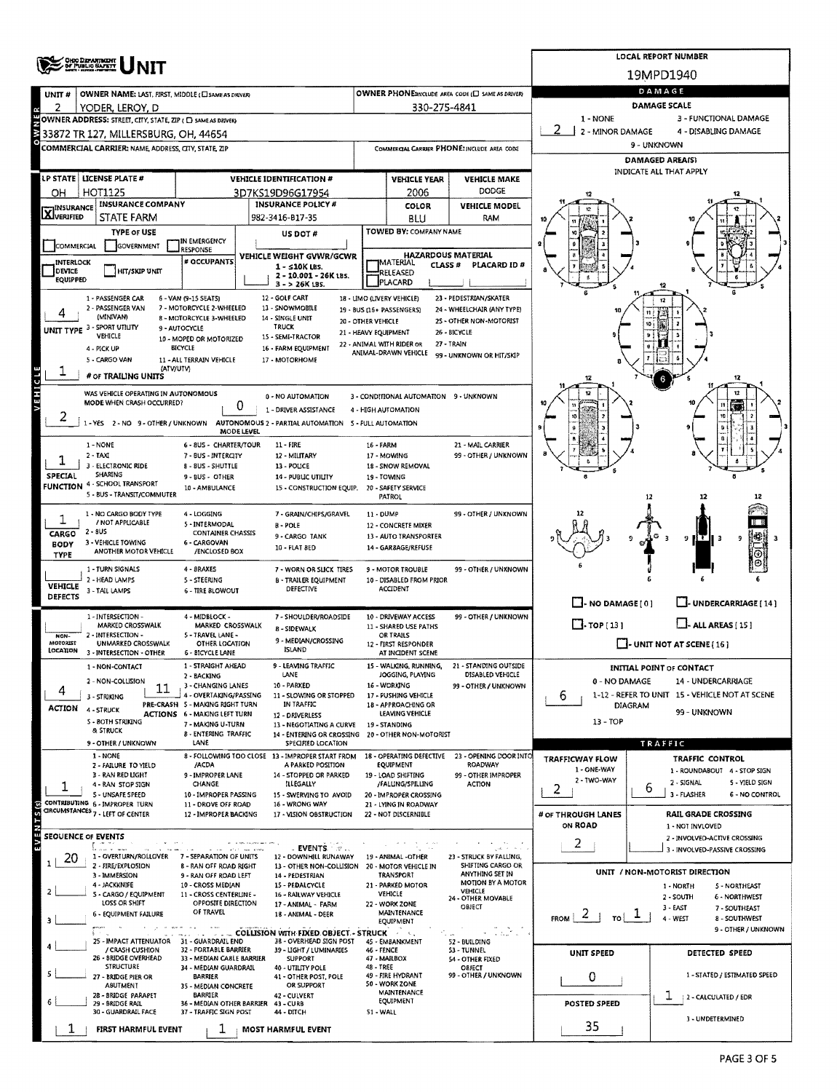|                                                                      |                                                                                                                                                            |                                                                                                                                                                                        |                                                                                          |                                                                               |                                                  |                                             |                                                     | <b>LOCAL REPORT NUMBER</b>                                         |  |  |  |
|----------------------------------------------------------------------|------------------------------------------------------------------------------------------------------------------------------------------------------------|----------------------------------------------------------------------------------------------------------------------------------------------------------------------------------------|------------------------------------------------------------------------------------------|-------------------------------------------------------------------------------|--------------------------------------------------|---------------------------------------------|-----------------------------------------------------|--------------------------------------------------------------------|--|--|--|
|                                                                      | <b>OHIO DEPARTMENT</b><br>OF PUBLIC SAFETY                                                                                                                 |                                                                                                                                                                                        | 19MPD1940                                                                                |                                                                               |                                                  |                                             |                                                     |                                                                    |  |  |  |
| UNIT#                                                                | OWNER NAME: LAST, FIRST, MIDDLE (C) SAME AS DRIVERY                                                                                                        |                                                                                                                                                                                        | DAMAGE                                                                                   |                                                                               |                                                  |                                             |                                                     |                                                                    |  |  |  |
| 2                                                                    | YODER, LEROY, D                                                                                                                                            |                                                                                                                                                                                        |                                                                                          | <b>DAMAGE SCALE</b>                                                           |                                                  |                                             |                                                     |                                                                    |  |  |  |
|                                                                      | OWNER ADDRESS: STREET, CITY, STATE, ZIP ( C) SAME AS DRIVERY                                                                                               |                                                                                                                                                                                        |                                                                                          | 1 - NONE<br>3 - FUNCTIONAL DAMAGE<br>2 - MINOR DAMAGE<br>4 - DISABLING DAMAGE |                                                  |                                             |                                                     |                                                                    |  |  |  |
|                                                                      | 33872 TR 127, MILLERSBURG, OH, 44654<br>COMMERCIAL CARRIER: NAME ADDRESS, CITY, STATE, ZIP                                                                 |                                                                                                                                                                                        |                                                                                          |                                                                               |                                                  | COMMERCIAL CARRIER PHONE: INCLUDE AREA CODE |                                                     | 9 - UNKNOWN                                                        |  |  |  |
|                                                                      |                                                                                                                                                            |                                                                                                                                                                                        |                                                                                          | <b>DAMAGED AREA(S)</b>                                                        |                                                  |                                             |                                                     |                                                                    |  |  |  |
| <b>LP STATE   LICENSE PLATE #</b><br><b>VEHICLE IDENTIFICATION #</b> |                                                                                                                                                            |                                                                                                                                                                                        |                                                                                          |                                                                               | <b>VEHICLE YEAR</b>                              | <b>VEHICLE MAKE</b>                         |                                                     | INDICATE ALL THAT APPLY                                            |  |  |  |
| OН                                                                   | HOT1125<br>3D7KS19D96G17954                                                                                                                                |                                                                                                                                                                                        |                                                                                          |                                                                               | 2006                                             | <b>DODGE</b>                                |                                                     |                                                                    |  |  |  |
| <b>X</b> INSURANCE                                                   | <b>INSURANCE COMPANY</b><br><b>INSURANCE POLICY #</b>                                                                                                      |                                                                                                                                                                                        |                                                                                          |                                                                               | COLOR                                            | <b>VEHICLE MODEL</b>                        |                                                     |                                                                    |  |  |  |
|                                                                      | <b>STATE FARM</b><br><b>TYPE OF USE</b>                                                                                                                    |                                                                                                                                                                                        | 982-3416-B17-35                                                                          |                                                                               | BLU<br>TOWED BY: COMPANY NAME                    | RAM                                         |                                                     |                                                                    |  |  |  |
| COMMERCIAL                                                           | GOVERNMENT                                                                                                                                                 | IN EMERGENCY<br><b>RESPONSE</b>                                                                                                                                                        | US DOT #                                                                                 |                                                                               |                                                  |                                             |                                                     |                                                                    |  |  |  |
| INTERLOCK                                                            |                                                                                                                                                            | # OCCUPANTS                                                                                                                                                                            | VEHICLE WEIGHT GVWR/GCWR<br>$1 - 510K$ LBS.                                              |                                                                               | <b>HAZARDOUS MATERIAL</b><br>MATERIAL<br>CLASS # | PLACARD ID#                                 |                                                     |                                                                    |  |  |  |
| DEVICE<br><b>EQUIPPED</b>                                            | <b>HIT/SKIP UNIT</b>                                                                                                                                       |                                                                                                                                                                                        | 2 - 10.001 - 26K LBS.<br>$3 - 26K$ LBS.                                                  |                                                                               | RELEASED<br>PLACARD                              |                                             |                                                     |                                                                    |  |  |  |
|                                                                      | 1 - PASSENGER CAR                                                                                                                                          | 6 - VAN (9-15 SEATS)                                                                                                                                                                   | 12 - GOLF CART                                                                           |                                                                               | 18 - LIMO (LIVERY VEHICLE)                       | 23 - PEDESTRIAN/SKATER                      |                                                     |                                                                    |  |  |  |
|                                                                      | 2 - PASSENGER VAN<br>(MINIVAN)                                                                                                                             | 7 - MOTORCYCLE 2-WHEELED<br>8 - MOTORCYCLE 3-WHEELED                                                                                                                                   | 13 - SNOWMOBILE<br>14 - SINGLE UNIT                                                      |                                                                               | 19 - BUS (16 + PASSENGERS)                       | 24 - WHEELCHAIR (ANY TYPE)                  |                                                     |                                                                    |  |  |  |
|                                                                      | UNIT TYPE 3 - SPORT UTILITY<br>VEHICLE                                                                                                                     | 9 - AUTOCYCLE                                                                                                                                                                          | <b>TRUCK</b>                                                                             | 20 - OTHER VEHICLE<br>21 - HEAVY EQUIPMENT                                    |                                                  | 25 - OTHER NON-MOTORIST<br>26 - BICYCLE     |                                                     |                                                                    |  |  |  |
|                                                                      | 4 - PICK UP                                                                                                                                                | 10 - MOPED OR MOTORIZED<br>BICYCLE                                                                                                                                                     | 15 - SEMI-TRACTOR<br>16 - FARM EQUIPMENT                                                 |                                                                               | 22 - ANIMAL WITH RIDER OR                        | 27 - TRAIN                                  |                                                     |                                                                    |  |  |  |
|                                                                      | 5 - CARGO VAN<br>(ATV/UTV)                                                                                                                                 | 11 - ALL TERRAIN VEHICLE                                                                                                                                                               | 17 - MOTORHOME                                                                           |                                                                               | ANIMAL-DRAWN VEHICLE                             | 99 - UNKNOWN OR HIT/SKIP                    |                                                     |                                                                    |  |  |  |
|                                                                      | # OF TRAILING UNITS                                                                                                                                        |                                                                                                                                                                                        |                                                                                          |                                                                               |                                                  |                                             |                                                     | 12                                                                 |  |  |  |
| VEHICLE                                                              | WAS VEHICLE OPERATING IN AUTONOMOUS                                                                                                                        |                                                                                                                                                                                        | 0 - NO AUTOMATION                                                                        |                                                                               | 3 - CONDITIONAL AUTOMATION 9 - UNKNOWN           |                                             |                                                     | 12                                                                 |  |  |  |
|                                                                      | MODE WHEN CRASH OCCURRED?                                                                                                                                  | 0                                                                                                                                                                                      | 1 - DRIVER ASSISTANCE                                                                    |                                                                               | 4 - HIGH AUTOMATION                              |                                             |                                                     |                                                                    |  |  |  |
|                                                                      |                                                                                                                                                            | MODE LEVEL                                                                                                                                                                             | 1 - YES 2 - NO 9 - OTHER / UNKNOWN AUTONOMOUS 2 - PARTIAL AUTOMATION 5 - FULL AUTOMATION |                                                                               |                                                  |                                             |                                                     |                                                                    |  |  |  |
|                                                                      | 1 - NONE                                                                                                                                                   | 6 - 8US - CHARTER/TOUR                                                                                                                                                                 | 11 - FIRE                                                                                | 16 - FARM                                                                     |                                                  | 21 - MAIL CARRIER                           |                                                     |                                                                    |  |  |  |
|                                                                      | $2 - IAXI$<br>3 - ELECTRONIC RIDE                                                                                                                          | 7 - BUS - INTERCITY<br>8 - BUS - SHUTTLE                                                                                                                                               | 12 - MILITARY<br>13 - POLICE                                                             |                                                                               | 17 - MOWING<br>18 - SNOW REMOVAL                 | 99 - OTHER / UNKNOWN                        |                                                     |                                                                    |  |  |  |
| SPECIAL                                                              | SHARING                                                                                                                                                    | 9-BUS-OTHER                                                                                                                                                                            | 14 - PUBLIC UTILITY                                                                      |                                                                               | 19 - TOWING                                      |                                             |                                                     |                                                                    |  |  |  |
|                                                                      | FUNCTION 4 - SCHOOL TRANSPORT<br>5 - BUS - TRANSIT/COMMUTER                                                                                                | 10 - AMBULANCE                                                                                                                                                                         | 15 - CONSTRUCTION EQUIP. 20 - SAFETY SERVICE                                             |                                                                               | <b>PATROL</b>                                    |                                             |                                                     | 12                                                                 |  |  |  |
|                                                                      | 1 - NO CARGO BODY TYPE                                                                                                                                     | 4 - LOGGING                                                                                                                                                                            | 7 - GRAIN/CHIPS/GRAVEL                                                                   | 11 - DUMP                                                                     |                                                  | 99 - OTHER / UNKNOWN                        |                                                     |                                                                    |  |  |  |
| 1                                                                    | / NOT APPLICABLE<br>$2 - 8US$                                                                                                                              | 5 - INTERMODAL                                                                                                                                                                         | <b>B-POLE</b>                                                                            |                                                                               | 12 - CONCRETE MIXER                              |                                             |                                                     |                                                                    |  |  |  |
| <b>BODY</b>                                                          | CARGO<br><b>CONTAINER CHASSIS</b><br>9 - CARGO TANK<br>13 - AUTO TRANSPORTER<br>3 - VEHICLE TOWING<br>6 - CARGOVAN<br>10 - FLAT BED<br>14 - GARBAGE/REFUSE |                                                                                                                                                                                        |                                                                                          |                                                                               |                                                  |                                             | 9 H.T<br>9                                          |                                                                    |  |  |  |
| <b>TYPE</b>                                                          | ANOTHER MOTOR VEHICLE                                                                                                                                      | /ENCLOSED BOX                                                                                                                                                                          |                                                                                          |                                                                               |                                                  |                                             |                                                     | ⊕∣                                                                 |  |  |  |
|                                                                      | 1 - TURN SIGNALS<br>2 - HEAD LAMPS                                                                                                                         | 4 - BRAKES<br>5 - STEERING                                                                                                                                                             | 7 - WORN OR SLICK TIRES<br><b>B - TRAILER EQUIPMENT</b>                                  |                                                                               | 9 - MOTOR TROUBLE<br>10 - DISABLED FROM PRIOR    | 99 - OTHER / UNKNOWN                        |                                                     |                                                                    |  |  |  |
| <b>VEHICLE</b><br><b>DEFECTS</b>                                     | 3 - TAIL LAMPS                                                                                                                                             | <b>6 - TIRE BLOWOUT</b>                                                                                                                                                                | DEFECTIVE                                                                                |                                                                               | <b>ACCIDENT</b>                                  |                                             |                                                     |                                                                    |  |  |  |
|                                                                      | 1 - INTERSECTION -                                                                                                                                         |                                                                                                                                                                                        |                                                                                          |                                                                               |                                                  |                                             | $\Box$ - NO DAMAGE (0)                              | UNDERCARRIAGE [14]                                                 |  |  |  |
|                                                                      | MARKED CROSSWALK                                                                                                                                           | 99 - OTHER / UNKNOWN<br>4 - MIDBLOCK -<br>7 - SHOULDER/ROADSIDE<br>10 - DRIVEWAY ACCESS<br>MARKED CROSSWALK<br>11 - SHARED USE PATHS<br>8 - SIDEWALK                                   |                                                                                          |                                                                               |                                                  |                                             | $\Box$ -TOP[13]<br>$\Box$ - ALL AREAS (15)          |                                                                    |  |  |  |
| NON-<br>MOTORIST                                                     | 2 - INTERSECTION -<br><b>UNMARKED CROSSWALK</b>                                                                                                            | 5 - TRAVEL LANE -<br>OTHER LOCATION                                                                                                                                                    | 9 - MEDIAN/CROSSING<br><b>ISLAND</b>                                                     |                                                                               | OR TRAILS<br>12 - FIRST RESPONDER                |                                             | $\Box$ - UNIT NOT AT SCENE (16)                     |                                                                    |  |  |  |
| LOCATION                                                             | 3 - INTERSECTION - OTHER                                                                                                                                   | <b>6 - BICYCLE LANE</b><br>1 - STRAIGHT AHEAD                                                                                                                                          | · LEAVING TRAFFIC                                                                        |                                                                               | AT INCIDENT SCENE<br>WALKING, RUNNING,           | 21 - STANDING OUTSIDE                       |                                                     |                                                                    |  |  |  |
|                                                                      | 1 - NON-CONTACT<br>2 - NON-COLLISION                                                                                                                       | 2 - BACKING                                                                                                                                                                            | LANE                                                                                     |                                                                               | JOGGING, PLAYING                                 | DISABLED VEHICLE                            | 0 - NO DAMAGE                                       | <b>INITIAL POINT OF CONTACT</b><br>14 - UNDERCARRIAGE              |  |  |  |
| 4                                                                    | 11<br>3 - STRIKING                                                                                                                                         | 3 - CHANGING LANES<br>4 - OVERTAKING/PASSING                                                                                                                                           | 10 - PARKED<br>11 - SLOWING OR STOPPED                                                   |                                                                               | 16 - WORKING<br>17 - PUSHING VEHICLE             | 99 - OTHER / UNKNOWN                        | 1-12 - REFER TO UNIT 15 - VEHICLE NOT AT SCENE<br>6 |                                                                    |  |  |  |
| ACTION                                                               | 4-STRUCK                                                                                                                                                   | PRE-CRASH 5 - MAKING RIGHT TURN<br><b>ACTIONS 6 - MAKING LEFT TURN</b>                                                                                                                 | IN TRAFFIC<br>12 - DRIVERLESS                                                            |                                                                               | 18 - APPROACHING OR<br>LEAVING VEHICLE           |                                             | <b>DIAGRAM</b>                                      | 99 - UNKNOWN                                                       |  |  |  |
|                                                                      | 5 - BOTH STRIKING<br><b>&amp; STRUCK</b>                                                                                                                   | 7 - MAKING U-TURN                                                                                                                                                                      | 13 - NEGOTIATING A CURVE                                                                 |                                                                               | 19 - STANDING                                    |                                             | $13 - TOP$                                          |                                                                    |  |  |  |
|                                                                      | 9 - OTHER / UNKNOWN                                                                                                                                        | <b>8 - ENTERING TRAFFIC</b><br>LANE                                                                                                                                                    | 14 - ENTERING OR CROSSING 20 - OTHER NON-MOTORIST<br>SPECIFIED LOCATION                  |                                                                               |                                                  |                                             |                                                     | TRAFFIC                                                            |  |  |  |
|                                                                      | 1 - NONE<br>2 - FAILURE TO YIELD                                                                                                                           | /ACDA                                                                                                                                                                                  | 8 - FOLLOWING TOO CLOSE 13 - IMPROPER START FROM<br>A PARKED POSITION                    |                                                                               | 18 - OPERATING DEFECTIVE<br><b>EQUIPMENT</b>     | 23 - OPENING DOOR INTO<br>ROADWAY           | <b>TRAFFICWAY FLOW</b>                              | <b>TRAFFIC CONTROL</b>                                             |  |  |  |
|                                                                      | 3 - RAN RED LIGHT                                                                                                                                          | 9 - IMPROPER LANE                                                                                                                                                                      | 14 - STOPPED OR PARKED                                                                   |                                                                               | 19 - LOAD SHIFTING                               | 99 - OTHER IMPROPER                         | 1 - ONE-WAY<br>2 - TWO-WAY                          | 1 - ROUNDABOUT 4 - STOP SIGN                                       |  |  |  |
|                                                                      | 4 - RAN STOP SIGN<br>5 - UNSAFE SPEED                                                                                                                      | CHANGE<br>10 - IMPROPER PASSING                                                                                                                                                        | ILLEGALLY<br>15 - SWERVING TO AVOID                                                      |                                                                               | /FALUNG/SPILLING<br>20 - IMPROPER CROSSING       | ACTION                                      | 2                                                   | 2 - SIGNAL<br>5 - YIELD SIGN<br>6<br>3 - FLASHER<br>6 - NO CONTROL |  |  |  |
| $\frac{1}{5}$                                                        | CONTRIBUTING 6 - IMPROPER TURN<br>CIRCUMSTANCES 7 - LEFT OF CENTER                                                                                         | 11 - DROVE OFF ROAD<br>12 - IMPROPER BACKING                                                                                                                                           | 16 - WRONG WAY<br>17 - VISION OBSTRUCTION                                                |                                                                               | 21 - LYING IN ROADWAY                            |                                             | # OF THROUGH LANES                                  |                                                                    |  |  |  |
|                                                                      |                                                                                                                                                            |                                                                                                                                                                                        |                                                                                          |                                                                               | 22 - NOT DISCERNIBLE                             |                                             | ON ROAD                                             | <b>RAIL GRADE CROSSING</b><br>1 - NOT INVLOVED                     |  |  |  |
| <b>N E A E</b><br><b>SEQUENCE OF EVENTS</b>                          |                                                                                                                                                            |                                                                                                                                                                                        |                                                                                          |                                                                               |                                                  |                                             | 2                                                   | 2 - INVOLVED-ACTIVE CROSSING                                       |  |  |  |
| 20                                                                   | المستدلا<br>1 - OVERTURN/ROLLOVER                                                                                                                          | 7 - SEPARATION OF UNITS                                                                                                                                                                | <b>EVENTS &amp; B</b><br>12 - DOWNHILL RUNAWAY                                           |                                                                               | 19 - ANIMAL -OTHER                               | 23 - STRUCK BY FALLING,                     |                                                     | 3 - INVOLVED-PASSIVE CROSSING                                      |  |  |  |
|                                                                      | 2 - FIRE/EXPLOSION<br>3 - IMMERSION                                                                                                                        | <b>8 - RAN OFF ROAD RIGHT</b><br>9 - RAN OFF ROAD LEFT                                                                                                                                 | 13 - OTHER NON-COLLISION<br>14 - PEDESTRIAN                                              |                                                                               | 20 - MOTOR VEHICLE IN<br>TRANSPORT               | SHIFTING CARGO OR<br>ANYTHING SET IN        |                                                     | UNIT / NON-MOTORIST DIRECTION                                      |  |  |  |
|                                                                      | 4 - JACKKNIFE<br>5 - CARGO / EQUIPMENT                                                                                                                     | 10 - CROSS MEDIAN<br>11 - CROSS CENTERLINE -                                                                                                                                           | 15 - PEDALCYCLE<br>16 - RAILWAY VEHICLE                                                  |                                                                               | 21 - PARKED MOTOR<br><b>VEHICLE</b>              | MOTION BY A MOTOR<br>VEHICLE                |                                                     | 1 - NORTH<br>5 - NORTHEAST<br>2 - SOUTH<br>6 - NORTHWEST           |  |  |  |
|                                                                      | LOSS OR SHIFT                                                                                                                                              | OPPOSITE DIRECTION<br>OF TRAVEL                                                                                                                                                        | 17 - ANIMAL - FARM                                                                       |                                                                               | 22 - WORK ZONE<br>MAINTENANCE                    | 24 - OTHER MOVABLE<br>OBIECT                |                                                     | 3 - EAST<br>7 - SOUTHEAST                                          |  |  |  |
|                                                                      | 6 - EQUIPMENT FAILURE                                                                                                                                      |                                                                                                                                                                                        | 18 - ANIMAL - DEER                                                                       |                                                                               | EQUIPMENT                                        |                                             | $FROM \mid 2 +$<br>$\frac{1}{\pi}$                  | 4 - WEST<br>8 - SOUTHWEST<br>9 - OTHER / UNKNOWN                   |  |  |  |
|                                                                      | 25 - IMPACT ATTENUATOR                                                                                                                                     | 31 - GUARDRAIL END                                                                                                                                                                     | COLLISION WITH FIXED OBJECT - STRUCK A LEADER<br>38 - OVERHEAD SIGN POST                 |                                                                               | 45 - EMBANKMENT                                  | Galitari<br>52 - BUILDING                   |                                                     |                                                                    |  |  |  |
|                                                                      | / CRASH CUSHION<br>26 - BRIDGE OVERHEAD                                                                                                                    | 32 - PORTABLE BARRIER<br>33 - MEDIAN CABLE BARRIER                                                                                                                                     | 39 - LIGHT / LUMINARIES<br><b>SUPPORT</b>                                                | 46 - FENCE                                                                    |                                                  | 53 - TUNNEL<br>54 - OTHER FIXED             | UNIT SPEED                                          | DETECTED SPEED                                                     |  |  |  |
|                                                                      | <b>STRUCTURE</b><br>27 - BRIDGE PIER OR                                                                                                                    | 47 - MAILBOX<br>48 - TREE<br>40 - UTILITY POLE<br>34 - MEDIAN GUARDRAIL<br><b>OBJECT</b><br>49 - FIRE HYDRANT                                                                          |                                                                                          |                                                                               |                                                  | 99 - OTHER / UNKNOWN                        | 0                                                   | 1 - STATED / ESTIMATED SPEED                                       |  |  |  |
|                                                                      | ABUTMENT                                                                                                                                                   | BARRIER<br>41 - OTHER POST, POLE<br>50 - WORK ZONE<br>OR SUPPORT<br>35 - MEDIAN CONCRETE<br>MAINTENANCE<br>BARRIER<br>42 - CULVERT<br>EQUIPMENT<br>36 - MEDIAN OTHER BARRIER 43 - CURB |                                                                                          |                                                                               |                                                  |                                             |                                                     |                                                                    |  |  |  |
|                                                                      | 28 - BRIDGE PARAPET<br>29 - BRIDGE RAIL                                                                                                                    |                                                                                                                                                                                        |                                                                                          |                                                                               |                                                  |                                             | <b>POSTED SPEED</b>                                 | T<br>2 - CALCULATED / EDR                                          |  |  |  |
|                                                                      | 30 - GUARDRAIL FACE                                                                                                                                        | 37 - TRAFFIC SIGN POST                                                                                                                                                                 | 44 - DITCH                                                                               | 51 - WALL                                                                     |                                                  |                                             | 35                                                  | 3 - UNDETERMINED                                                   |  |  |  |
|                                                                      | FIRST HARMFUL EVENT                                                                                                                                        | 1                                                                                                                                                                                      | <b>MOST HARMFUL EVENT</b>                                                                |                                                                               |                                                  |                                             |                                                     |                                                                    |  |  |  |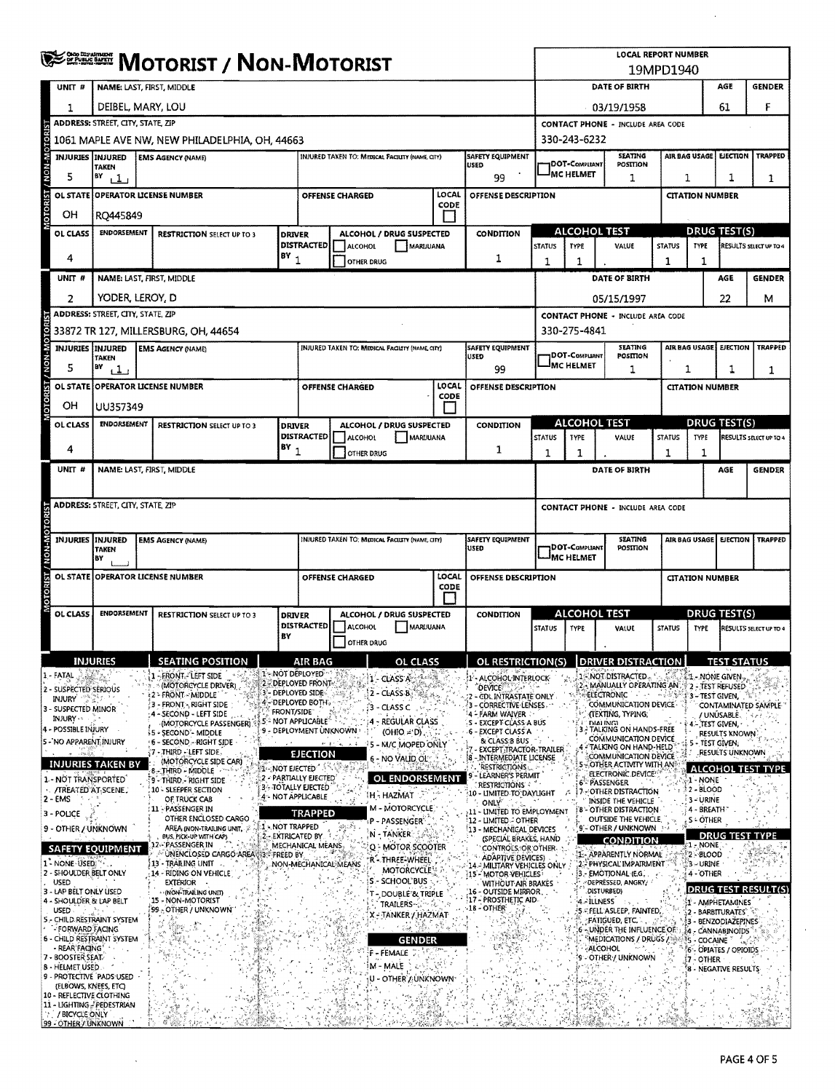|                 |                                                                                                                                                                                                                                     | <b>SERRICH MOTORIST / NON-MOTORIST</b>                                                                                                                                                              |                                                 |                   |                                              |                              |                                                      |                                                           | <b>LOCAL REPORT NUMBER</b><br>19MPD1940                           |                                                                                                   |                                                     |                                                                 |                                |                                                    |                                          |                                    |
|-----------------|-------------------------------------------------------------------------------------------------------------------------------------------------------------------------------------------------------------------------------------|-----------------------------------------------------------------------------------------------------------------------------------------------------------------------------------------------------|-------------------------------------------------|-------------------|----------------------------------------------|------------------------------|------------------------------------------------------|-----------------------------------------------------------|-------------------------------------------------------------------|---------------------------------------------------------------------------------------------------|-----------------------------------------------------|-----------------------------------------------------------------|--------------------------------|----------------------------------------------------|------------------------------------------|------------------------------------|
|                 | UNIT#                                                                                                                                                                                                                               | NAME: LAST, FIRST, MIDDLE                                                                                                                                                                           |                                                 |                   |                                              |                              |                                                      |                                                           |                                                                   |                                                                                                   | DATE OF BIRTH<br>AGE<br><b>GENDER</b>               |                                                                 |                                |                                                    |                                          |                                    |
|                 | 1                                                                                                                                                                                                                                   | DEIBEL, MARY, LOU                                                                                                                                                                                   |                                                 |                   |                                              |                              |                                                      |                                                           |                                                                   |                                                                                                   |                                                     | 61<br>03/19/1958                                                |                                |                                                    |                                          |                                    |
|                 |                                                                                                                                                                                                                                     | ADDRESS: STREET, CITY, STATE, ZIP                                                                                                                                                                   |                                                 |                   |                                              |                              |                                                      |                                                           |                                                                   |                                                                                                   | <b>CONTACT PHONE - INCLUDE AREA CODE</b>            |                                                                 |                                |                                                    |                                          |                                    |
|                 |                                                                                                                                                                                                                                     | 1061 MAPLE AVE NW, NEW PHILADELPHIA, OH, 44663<br>330-243-6232                                                                                                                                      |                                                 |                   |                                              |                              |                                                      |                                                           |                                                                   |                                                                                                   |                                                     |                                                                 |                                |                                                    |                                          |                                    |
| <b>AOM-MOAN</b> | <b>INJURIES INJURED</b>                                                                                                                                                                                                             | SAFETY EQUIPMENT<br>INJURED TAKEN TO: MEDICAL FACILITY (NAME, CITY)<br><b>EMS AGENCY (NAME)</b><br>USED<br><b>TAKEN</b>                                                                             |                                                 |                   |                                              |                              |                                                      |                                                           |                                                                   | <b>SEATING</b><br>AIR BAG USAGE<br><b>EJECTION</b><br>1DOT-COMPLIANT<br>POSITION                  |                                                     |                                                                 |                                | <b>TRAPPED</b>                                     |                                          |                                    |
|                 | 5                                                                                                                                                                                                                                   | BY<br>111                                                                                                                                                                                           |                                                 |                   |                                              |                              |                                                      |                                                           | 99                                                                | <b>IMC HELMET</b><br>1<br>1                                                                       |                                                     |                                                                 | 1<br>1                         |                                                    |                                          |                                    |
| <b>OTORIST</b>  |                                                                                                                                                                                                                                     | OL STATE OPPERATOR LICENSE NUMBER                                                                                                                                                                   |                                                 |                   |                                              | OFFENSE CHARGED              |                                                      | LOCAL<br>CODE                                             | <b>OFFENSE DESCRIPTION</b>                                        |                                                                                                   |                                                     |                                                                 |                                | <b>CITATION NUMBER</b>                             |                                          |                                    |
|                 | OН                                                                                                                                                                                                                                  | RO445849                                                                                                                                                                                            |                                                 |                   |                                              |                              |                                                      |                                                           |                                                                   |                                                                                                   |                                                     |                                                                 |                                |                                                    |                                          |                                    |
|                 | OL CLASS                                                                                                                                                                                                                            | <b>ENDORSEMENT</b>                                                                                                                                                                                  | <b>RESTRICTION SELECT UP TO 3</b>               | <b>DRIVER</b>     | <b>DISTRACTED</b>                            |                              | ALCOHOL / DRUG SUSPECTED                             |                                                           | CONDITION                                                         | <b>STATUS</b>                                                                                     | <b>ALCOHOL TEST</b><br><b>TYPE</b>                  | VALUE                                                           | <b>STATUS</b>                  | TYPE                                               | <b>DRUG TEST(S)</b>                      | RESULTS SELECT UP TO 4             |
|                 | 4                                                                                                                                                                                                                                   |                                                                                                                                                                                                     |                                                 | $BY_1$            |                                              | ALCOHOL<br><b>OTHER DRUG</b> | <b>MARLIUANA</b>                                     |                                                           | 1                                                                 | 1                                                                                                 | 1                                                   |                                                                 | 1                              | 1                                                  |                                          |                                    |
|                 | UNIT #                                                                                                                                                                                                                              | NAME: LAST, FIRST, MIDDLE                                                                                                                                                                           |                                                 |                   |                                              |                              |                                                      |                                                           |                                                                   |                                                                                                   |                                                     | DATE OF BIRTH                                                   |                                |                                                    | AGE                                      | <b>GENDER</b>                      |
|                 | $\overline{2}$                                                                                                                                                                                                                      | YODER, LEROY, D                                                                                                                                                                                     |                                                 |                   |                                              |                              |                                                      |                                                           |                                                                   |                                                                                                   |                                                     | 05/15/1997                                                      |                                |                                                    | 22.                                      | м                                  |
|                 |                                                                                                                                                                                                                                     | <b>ADDRESS: STREET, CITY, STATE, ZIP</b>                                                                                                                                                            |                                                 |                   |                                              |                              |                                                      |                                                           |                                                                   |                                                                                                   |                                                     | <b>CONTACT PHONE - INCLUDE AREA CODE</b>                        |                                |                                                    |                                          |                                    |
|                 |                                                                                                                                                                                                                                     |                                                                                                                                                                                                     | 33872 TR 127, MILLERSBURG, OH, 44654            |                   |                                              |                              |                                                      |                                                           |                                                                   |                                                                                                   | 330-275-4841                                        |                                                                 |                                |                                                    |                                          |                                    |
| W-NON-N         | <b>INJURIES INJURED</b>                                                                                                                                                                                                             | TAKEN                                                                                                                                                                                               | <b>EMS AGENCY (NAME)</b>                        |                   |                                              |                              | <b>INJURED TAKEN TO: MEDICAL FAGUIY (NAME, CITY)</b> |                                                           | SAFETY EQUIPMENT<br>USED                                          |                                                                                                   | <b>DOT-COMPLIANT</b>                                | <b>SEATING</b><br>POSITION                                      |                                | AIR BAG USAGE<br><b>EJECTION</b><br><b>TRAPPED</b> |                                          |                                    |
|                 | 5                                                                                                                                                                                                                                   | BY<br>$^{11}$                                                                                                                                                                                       |                                                 |                   |                                              |                              |                                                      |                                                           | 99                                                                |                                                                                                   | <b>MC HELMET</b>                                    | 1                                                               |                                | 1<br>1<br>1                                        |                                          |                                    |
|                 |                                                                                                                                                                                                                                     | OL STATE OPERATOR LICENSE NUMBER                                                                                                                                                                    |                                                 |                   |                                              | OFFENSE CHARGED              |                                                      | LOCAL<br>CODE                                             | OFFENSE DESCRIPTION                                               |                                                                                                   |                                                     |                                                                 |                                | <b>CITATION NUMBER</b>                             |                                          |                                    |
|                 | OН                                                                                                                                                                                                                                  | UU357349                                                                                                                                                                                            |                                                 |                   |                                              |                              |                                                      |                                                           |                                                                   |                                                                                                   |                                                     |                                                                 |                                |                                                    |                                          |                                    |
|                 | OL CLASS                                                                                                                                                                                                                            | <b>ENDORSEMENT</b>                                                                                                                                                                                  | <b>RESTRICTION SELECT UP TO 3</b>               | <b>DRIVER</b>     |                                              | DISTRACTED   ALCOHOL         | ALCOHOL / DRUG SUSPECTED<br>MARUUANA                 |                                                           | <b>CONDITION</b>                                                  | <b>STATUS</b>                                                                                     | <b>ALCOHOL TEST</b><br>TYPE                         | VALUE                                                           | <b>STATUS</b>                  | TYPE                                               | DRUG TEST(S)                             | RESULTS SELECT UP TO 4             |
|                 | 4                                                                                                                                                                                                                                   |                                                                                                                                                                                                     |                                                 | $18Y_1$           |                                              | <b>OTHER DRUG</b>            |                                                      |                                                           | 1                                                                 | 1                                                                                                 | 1                                                   |                                                                 | 1                              | 1                                                  |                                          |                                    |
|                 | UNIT #                                                                                                                                                                                                                              | NAME: LAST, FIRST, MIDDLE                                                                                                                                                                           |                                                 |                   |                                              |                              |                                                      |                                                           |                                                                   |                                                                                                   |                                                     | DATE OF BIRTH                                                   |                                |                                                    | AGE                                      | <b>GENDER</b>                      |
|                 |                                                                                                                                                                                                                                     |                                                                                                                                                                                                     |                                                 |                   |                                              |                              |                                                      |                                                           |                                                                   |                                                                                                   |                                                     |                                                                 |                                |                                                    |                                          |                                    |
|                 |                                                                                                                                                                                                                                     | <b>ADDRESS: STREET, CITY, STATE, ZIP</b>                                                                                                                                                            |                                                 |                   |                                              |                              |                                                      |                                                           |                                                                   | <b>CONTACT PHONE - INCLUDE AREA CODE</b>                                                          |                                                     |                                                                 |                                |                                                    |                                          |                                    |
|                 |                                                                                                                                                                                                                                     |                                                                                                                                                                                                     |                                                 |                   |                                              |                              |                                                      |                                                           |                                                                   |                                                                                                   |                                                     |                                                                 |                                |                                                    |                                          |                                    |
| <b>N-NON</b>    | INJURIES INJURED                                                                                                                                                                                                                    | <b>TAKEN</b>                                                                                                                                                                                        | <b>EMS AGENCY (NAME)</b>                        |                   |                                              |                              | INJURED TAKEN TO: MEDICAL FACILITY (NAME, CITY)      |                                                           | SAFETY EQUIPMENT<br>USED                                          |                                                                                                   | DOT-COMPLIANT                                       | <b>SEATING</b><br>POSITION                                      |                                |                                                    |                                          | AIR BAG USAGE   EJECTION   TRAPPED |
|                 |                                                                                                                                                                                                                                     | BY                                                                                                                                                                                                  |                                                 |                   |                                              |                              |                                                      |                                                           |                                                                   |                                                                                                   | <b>IMC HELMET</b><br><b>CITATION NUMBER</b>         |                                                                 |                                |                                                    |                                          |                                    |
| <b>TSIROLO</b>  | OL STATE                                                                                                                                                                                                                            | <b>OPERATOR LICENSE NUMBER</b>                                                                                                                                                                      |                                                 |                   |                                              | OFFENSE CHARGED              |                                                      | LOCAL<br>CODE                                             | <b>OFFENSE DESCRIPTION</b>                                        |                                                                                                   |                                                     |                                                                 |                                |                                                    |                                          |                                    |
|                 | OL CLASS                                                                                                                                                                                                                            | ENDORSEMENT                                                                                                                                                                                         | <b>RESTRICTION SELECT UP TO 3</b>               | <b>DRIVER</b>     |                                              |                              | ALCOHOL / DRUG SUSPECTED                             |                                                           | <b>CONDITION</b>                                                  | <b>ALCOHOL TEST</b><br><b>DRUG TEST(S)</b>                                                        |                                                     |                                                                 |                                |                                                    |                                          |                                    |
|                 |                                                                                                                                                                                                                                     |                                                                                                                                                                                                     |                                                 | BY                | <b>DISTRACTED</b>                            | ALCOHOL                      | MARUUANA                                             |                                                           |                                                                   | <b>STATUS</b>                                                                                     | TYPE                                                | VALUE                                                           | <b>STATUS</b>                  | <b>TYPE</b>                                        |                                          | RESULTS SELECT UP TO 4             |
|                 |                                                                                                                                                                                                                                     |                                                                                                                                                                                                     |                                                 |                   |                                              | OTHER DRUG                   |                                                      |                                                           |                                                                   |                                                                                                   |                                                     |                                                                 |                                |                                                    |                                          |                                    |
|                 |                                                                                                                                                                                                                                     | <b>IN HIRIFS</b>                                                                                                                                                                                    | <b>SEATING POSITION</b>                         |                   | AIR RAG<br>1 - NOT DEPLOYED                  |                              | OL CLASS.                                            |                                                           | OL RESTRICTION(S) DRIVER DISTRACTION                              |                                                                                                   |                                                     |                                                                 |                                |                                                    | <b>TEST STATUS</b>                       |                                    |
|                 | 1 - FATAL<br>2 - SUSPECTED SERIOUS                                                                                                                                                                                                  |                                                                                                                                                                                                     | 1 - FRONT - LEFT SIDE<br>(MOTORCYCLE DRIVER)    |                   | 2 - DEPLOYED FRONT<br>3 - DEPLOYED SIDE      |                              | 1 - CLASS A<br>2 - CLASS B.                          |                                                           | 1 - ALCOHOL INTERLOCK<br><b>DEVICE</b>                            |                                                                                                   |                                                     | - NOT DISTRACTED.<br>- MANUALLY OPERATING AN'                   |                                |                                                    | :1 - None Given.<br>2 - TEST REFUSED     |                                    |
|                 | INJURY<br>3 - SUSPECTED MINOR                                                                                                                                                                                                       |                                                                                                                                                                                                     | - FRONT - MIDDLE<br>- FRONT - RIGHT SIDE        | <b>FRONT/SIDE</b> | 4 - DEPLOYED BOTH                            |                              | - CLASS C                                            |                                                           | - CDLINTRASTATE ONLY<br>3 - CORRECTIVE LENSES                     | <b>ELECTRONIC</b><br>3 – TEST GIVEN.<br>COMMUNICATION DEVICE-<br>CONTAMINATED SAMPLE              |                                                     |                                                                 |                                |                                                    |                                          |                                    |
|                 | INJURY<br>4 - POSSIBLE INJURY                                                                                                                                                                                                       |                                                                                                                                                                                                     | - SECOND - LEFT SIDE<br>(MOTORCYCLE PASSENGER)  |                   | 5 - NOT APPLICABLE<br>9 - DEPLOYMENT UNKNOWN |                              | 4 - REGULAR CLASS<br>$(OHIO = D)$                    |                                                           | 14 - FARM WAIVER<br>-S - EXCEPT CLASS A BUS<br>6 - EXCEPT CLASS A | (TEXTING, TYPING;<br>/ UNÚSABLE<br><b>DIALING</b><br>4 - TEST GIVEN, 1<br>- TALKING ON HANDS-FREE |                                                     |                                                                 |                                |                                                    |                                          |                                    |
|                 | 5 - NO APPARENT INJURY                                                                                                                                                                                                              |                                                                                                                                                                                                     | }5 - SECOND°- MIDDLE<br>6 - SECOND - RIGHT SIDE |                   |                                              |                              | .' 5 - M/C MOPED ONLY                                |                                                           | & CLASS B BUS<br>EXCEPT TRACTOR-TRAILER                           |                                                                                                   |                                                     | COMMUNICATION DEVICE<br>TALKING ON HAND-HELD                    |                                | 5 - TEST GIVEN,                                    | <b>RESULTS KNOWN</b>                     |                                    |
|                 |                                                                                                                                                                                                                                     | <b>INJURIES TAKEN BY</b>                                                                                                                                                                            | 7 - THIRD - LEFT SIDE.<br>(MOTORCYCLE SIDE CAR) |                   | EJECTION                                     |                              | 6 - No valid ol                                      |                                                           | INTERMEDIATE LICENSE<br><b>RESTRICTIONS</b>                       |                                                                                                   |                                                     | COMMUNICATION DEVICE<br>- OTHER ACTIVITY WITH AN                |                                |                                                    | RESULTS UNKNOWN                          | <b>ALCOHOL TEST TYPE</b>           |
|                 |                                                                                                                                                                                                                                     | 1-NOT EJECTED<br>THIRD - MIDDLE<br>2 - PARTIALLY EJECTED<br>1 - NOT TRANSPORTED<br><b>OL ENDORSEMENT</b><br>9 - THIRD - RIGHT SIDE<br><b>3-TOTALLY EJECTED</b>                                      |                                                 |                   |                                              |                              |                                                      |                                                           | LEARNER'S PERMIT<br><b>RESTRICTIONS :</b>                         |                                                                                                   |                                                     | ELECTRONIC DEVICE!<br>6 <sup>5</sup> PASSENGER                  |                                | 1 - NONE<br>82 - BLOOD                             |                                          |                                    |
|                 | 2 - EMS                                                                                                                                                                                                                             | <b>/TREATED AT SCENE.</b><br>10 - SLEEPER SECTION<br>i H - HAZMAT<br>4 - NOT APPLICABLE<br>OF TRUCK CAB<br>ONLY <sup>*</sup>                                                                        |                                                 |                   |                                              |                              |                                                      | 10 - LIMITED TO DAYLIGHT                                  |                                                                   |                                                                                                   | <b>17 - OTHER DISTRACTION</b><br>INSIDE THE VEHICLE |                                                                 | 3 URINE                        |                                                    |                                          |                                    |
|                 | 3 - POLICE                                                                                                                                                                                                                          | M - MOTORCYCLE<br>: 11 - PASSENGER IN<br>$_2$ 11 - LIMITED TO EMPLOYMENT<br>TRAPPED<br>OTHER ENCLOSED CARGO<br>P - PASSENGER<br>12 - LIMITED - OTHER<br>1 - NOT TRAPPED<br>AREA (NON-TRAILING UNIT. |                                                 |                   |                                              |                              |                                                      |                                                           |                                                                   |                                                                                                   | <b>B-OTHER DISTRACTION</b><br>OUTSIDE THE VEHICLE.  |                                                                 | 4 - BREATH<br><b>S 4 OTHER</b> |                                                    |                                          |                                    |
|                 | 9'- OTHER / UNKNOWN<br>9 - OTHER / UNKNOWN<br>13 - MECHANICAL DEVICES<br>N TANKER<br>2 - EXTRICATED BY<br>DRUG<br>BUS, PICK-UP WITH CAPI<br>(SPECIAL BRAKES, HAND<br>CONDITION<br>2- PASSENGER IN<br>$1 -$ NONE<br>MECHANICAL MEANS |                                                                                                                                                                                                     |                                                 |                   |                                              |                              |                                                      |                                                           |                                                                   | TEST TYPE                                                                                         |                                                     |                                                                 |                                |                                                    |                                          |                                    |
|                 | Q - MOTOR SCOOTER<br>CONTROLS, OR OTHER.<br><b>SAFETY EQUIPMENT</b><br>UNENCLOSED CARGO AREA 3 FREED BY<br>R - THREE-WHEEL<br>1 - NONE USED **<br>13 - TRAILING UNIT<br>NON-MECHANICAL MEANS                                        |                                                                                                                                                                                                     |                                                 |                   |                                              |                              |                                                      | <b>ADAPTIVE DEVICES)</b><br>14 - MILITARY VEHICLES ONLY : |                                                                   |                                                                                                   | 1. APPARENTLY NORMAL<br>2 PHYSICAL IMPAIRMENT       |                                                                 | $2 - 8$ LOOD<br>3 - URINE      |                                                    |                                          |                                    |
|                 | USED                                                                                                                                                                                                                                | MOTORCYCLE<br>2 - SHOULDER BELT ONLY<br>14 - RIDING ON VEHICLE<br>15 - MOTOR VEHICLES !<br>S - SCHOOL BUS<br>EXTERIOR<br><b>WITHOUT AIR BRAKES</b>                                                  |                                                 |                   |                                              |                              |                                                      |                                                           |                                                                   | 3 - EMOTIONAL (E.G.,<br>· DEPRESSED, ANGRY,                                                       |                                                     | 4 - OTHER                                                       |                                |                                                    |                                          |                                    |
|                 |                                                                                                                                                                                                                                     | 3 - LAP BELT ONLY LISED<br>(NON-TRAILING UNIT)<br>T - DOUBLE'S TRIPLE<br>15 - NON-MOTORIST<br>4 - SHOULDER & LAP BELT                                                                               |                                                 |                   |                                              |                              |                                                      | 16 - OUTSIDE MIRROR.<br>17 - PROSTHETIC AID.              |                                                                   | 4 - ILLNESS                                                                                       | DISTURBED)                                          |                                                                 |                                | 1 - AMPHETAMINES                                   | <b>DRUG TEST RESULT(S)</b>               |                                    |
|                 | <b>USED</b>                                                                                                                                                                                                                         | 5 - CHILD RESTRAINT SYSTEM                                                                                                                                                                          | 99 - OTHER / UNKNOWN                            |                   |                                              |                              | TRAILERS-<br>K - TANKER / HAZMAT                     |                                                           | -18 - OTHER <sup>:</sup>                                          |                                                                                                   |                                                     | 5 - FELL ASLEEP, FAINTED,<br><b>FATIGUED, ETC.</b>              |                                |                                                    | 2 - BARBITURATES`<br>3 - BENZODIAZEPINES |                                    |
|                 | - FORWARD FACING                                                                                                                                                                                                                    | 6 - CHILD RESTRAINT SYSTEM                                                                                                                                                                          |                                                 |                   |                                              |                              | <b>GENDER</b>                                        |                                                           |                                                                   |                                                                                                   |                                                     | 6 - UNDER THE INFLUENCE OF<br><b>MEDICATIONS / DRUGS / 4848</b> |                                | $^{\circ}$ 5 - Cocaine $^{\circ}$                  | 4 - CANNABINOIDS                         |                                    |
|                 | - REAR FACTING<br>7 - BOOSTER SEAT-                                                                                                                                                                                                 |                                                                                                                                                                                                     |                                                 |                   |                                              |                              | F - FEMALE                                           |                                                           |                                                                   |                                                                                                   |                                                     | <b>ALCOHOL</b><br>9 - OTHER / UNKNOWN                           |                                | - OTHER                                            | 6 - OPIATES / OPIOIDS                    |                                    |
|                 | 8 - HELMET USED.                                                                                                                                                                                                                    | 9 - PROTECTIVE PADS USED                                                                                                                                                                            |                                                 |                   |                                              |                              | M - MALE                                             |                                                           |                                                                   |                                                                                                   |                                                     |                                                                 |                                |                                                    | - NEGATIVE RESULTS                       |                                    |
|                 | (ELBOWS, KNEES, ETC)<br>10 - REFLECTIVE CLOTHING                                                                                                                                                                                    |                                                                                                                                                                                                     |                                                 |                   |                                              |                              | U - OTHER ZUNKNOWN                                   |                                                           |                                                                   |                                                                                                   |                                                     |                                                                 |                                |                                                    |                                          |                                    |
|                 | : / BICYCLE ONLY                                                                                                                                                                                                                    | 11 - LIGHTING PEDESTRIAN                                                                                                                                                                            |                                                 |                   |                                              |                              |                                                      |                                                           |                                                                   |                                                                                                   |                                                     |                                                                 |                                |                                                    |                                          |                                    |
|                 | 199 - OTHER / UNKNOWN                                                                                                                                                                                                               |                                                                                                                                                                                                     |                                                 |                   |                                              |                              |                                                      |                                                           |                                                                   |                                                                                                   |                                                     |                                                                 |                                |                                                    |                                          |                                    |

 $\mathcal{A}$ 

 $\chi_{\rm{max}}$ 

 $\bar{\mathcal{A}}$